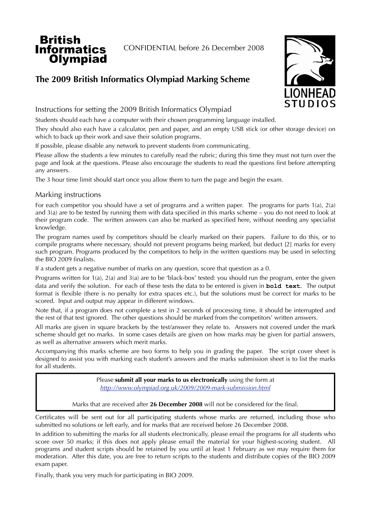

Informatics CONFIDENTIAL before 26 December 2008

# **The 2009 British Informatics Olympiad Marking Scheme**



Instructions for setting the 2009 British Informatics Olympiad

Students should each have a computer with their chosen programming language installed.

They should also each have a calculator, pen and paper, and an empty USB stick (or other storage device) on which to back up their work and save their solution programs.

If possible, please disable any network to prevent students from communicating.

Please allow the students a few minutes to carefully read the rubric; during this time they must not turn over the page and look at the questions. Please also encourage the students to read the questions first before attempting any answers.

The 3 hour time limit should start once you allow them to turn the page and begin the exam.

## Marking instructions

For each competitor you should have a set of programs and a written paper. The programs for parts 1(a), 2(a) and 3(a) are to be tested by running them with data specified in this marks scheme – you do not need to look at their program code. The written answers can also be marked as specified here, without needing any specialist knowledge.

The program names used by competitors should be clearly marked on their papers. Failure to do this, or to compile programs where necessary, should not prevent programs being marked, but deduct [2] marks for every such program. Programs produced by the competitors to help in the written questions may be used in selecting the BIO 2009 finalists.

If a student gets a negative number of marks on any question, score that question as a 0.

Programs written for 1(a), 2(a) and 3(a) are to be 'black-box' tested: you should run the program, enter the given data and verify the solution. For each of these tests the data to be entered is given in **bold text**. The output format is flexible (there is no penalty for extra spaces etc.), but the solutions must be correct for marks to be scored. Input and output may appear in different windows.

Note that, if a program does not complete a test in 2 seconds of processing time, it should be interrupted and the rest of that test ignored. The other questions should be marked from the competitors' written answers.

All marks are given in square brackets by the test/answer they relate to. Answers not covered under the mark scheme should get no marks. In some cases details are given on how marks may be given for partial answers, as well as alternative answers which merit marks.

Accompanying this marks scheme are two forms to help you in grading the paper. The script cover sheet is designed to assist you with marking each student's answers and the marks submission sheet is to list the marks for all students.

> Please **submit all your marks to us electronically** using the form at *http://www.olympiad.org.uk/2009/2009-mark-submission.html*

Marks that are received after **26 December 2008** will not be considered for the final.

Certificates will be sent out for all participating students whose marks are returned, including those who submitted no solutions or left early, and for marks that are received before 26 December 2008.

In addition to submitting the marks for all students electronically, please email the programs for all students who score over 50 marks; if this does not apply please email the material for your highest-scoring student. All programs and student scripts should be retained by you until at least 1 February as we may require them for moderation. After this date, you are free to return scripts to the students and distribute copies of the BIO 2009 exam paper.

Finally, thank you very much for participating in BIO 2009.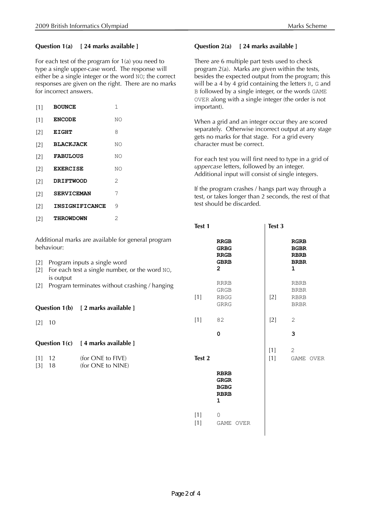## **Question 1(a) [ 24 marks available ]**

For each test of the program for 1(a) you need to type a single upper-case word. The response will either be a single integer or the word NO; the correct responses are given on the right. There are no marks for incorrect answers.

| [1]   | <b>BOUNCE</b>     | 1              |
|-------|-------------------|----------------|
| [1]   | <b>ENCODE</b>     | ΝO             |
| [2]   | <b>EIGHT</b>      | 8              |
| [2]   | <b>BLACKJACK</b>  | NΟ             |
| $[2]$ | <b>FABULOUS</b>   | ΝO             |
| [2]   | <b>EXERCISE</b>   | NΟ             |
| [2]   | <b>DRIFTWOOD</b>  | $\overline{c}$ |
| [2]   | <b>SERVICEMAN</b> | 7              |
| [2]   | INSIGNIFICANCE    | 9              |
| [2]   | <b>THROWDOWN</b>  | 2              |

Additional marks are available for general program behaviour:

- [2] Program inputs a single word
- [2] For each test a single number, or the word NO, is output
- [2] Program terminates without crashing / hanging

**Question 1(b) [ 2 marks available ]**

[2] 10

## **Question 1(c) [ 4 marks available ]**

| $[1]$ 12 |          | (for ONE to FIVE) |
|----------|----------|-------------------|
|          | $[3]$ 18 | (for ONE to NINE) |

## **Question 2(a) [ 24 marks available ]**

There are 6 multiple part tests used to check program 2(a). Marks are given within the tests, besides the expected output from the program; this will be a 4 by 4 grid containing the letters R, G and B followed by a single integer, or the words GAME OVER along with a single integer (the order is not important).

When a grid and an integer occur they are scored separately. Otherwise incorrect output at any stage gets no marks for that stage. For a grid every character must be correct.

For each test you will first need to type in a grid of *uppercase* letters, followed by an integer. Additional input will consist of single integers.

If the program crashes / hangs part way through a test, or takes longer than 2 seconds, the rest of that test should be discarded.

| Test 1         |                                                                          | Test 3         |                                                                          |
|----------------|--------------------------------------------------------------------------|----------------|--------------------------------------------------------------------------|
|                | <b>RRGB</b><br><b>GRBG</b><br><b>RRGB</b><br><b>GBRB</b><br>$\mathbf{2}$ |                | <b>RGRB</b><br><b>BGBR</b><br><b>RBRB</b><br><b>BRBR</b><br>$\mathbf{1}$ |
| $[1]$          | <b>RRRB</b><br><b>GRGB</b><br><b>RBGG</b><br><b>GRRG</b>                 | $[2]$          | <b>RBRB</b><br><b>BRBR</b><br><b>RBRB</b><br><b>BRBR</b>                 |
| $[1]$          | 82                                                                       | $[2]$          | $\overline{2}$                                                           |
|                | 0                                                                        |                | 3                                                                        |
| Test 2         |                                                                          | $[1]$<br>$[1]$ | $\overline{2}$<br>GAME OVER                                              |
|                | <b>RBRB</b><br><b>GRGR</b><br><b>BGBG</b><br><b>RBRB</b><br>$\mathbf 1$  |                |                                                                          |
| $[1]$<br>$[1]$ | 0<br>GAME OVER                                                           |                |                                                                          |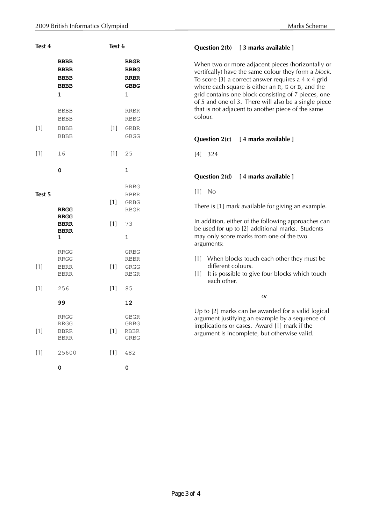| Test 4 |                                                                  | Test 6 |                                                               | Question 2(b) [ 3 marks available ]                                                                                                                                                                                                                                                                                                    |
|--------|------------------------------------------------------------------|--------|---------------------------------------------------------------|----------------------------------------------------------------------------------------------------------------------------------------------------------------------------------------------------------------------------------------------------------------------------------------------------------------------------------------|
|        | <b>BBBB</b><br><b>BBBB</b><br><b>BBBB</b><br><b>BBBB</b><br>1    |        | <b>RRGR</b><br><b>RBBG</b><br><b>RRBR</b><br><b>GBBG</b><br>1 | When two or more adjacent pieces (horizontally or<br>vertifcally) have the same colour they form a block.<br>To score $[3]$ a correct answer requires a 4 x 4 grid<br>where each square is either an R, G or B, and the<br>grid contains one block consisting of 7 pieces, one<br>of 5 and one of 3. There will also be a single piece |
|        | <b>BBBB</b><br><b>BBBB</b>                                       |        | RRBR<br><b>RBBG</b>                                           | that is not adjacent to another piece of the same<br>colour.                                                                                                                                                                                                                                                                           |
| $[1]$  | <b>BBBB</b><br><b>BBBB</b>                                       | $[1]$  | GRBR<br><b>GBGG</b>                                           | Question 2(c) [ 4 marks available ]                                                                                                                                                                                                                                                                                                    |
| $[1]$  | 16                                                               | $[1]$  | 25                                                            | $[4]$<br>324                                                                                                                                                                                                                                                                                                                           |
|        | 0                                                                |        | $\mathbf 1$                                                   | Question 2(d)<br>[4 marks available ]                                                                                                                                                                                                                                                                                                  |
| Test 5 | <b>RRGG</b>                                                      | $[1]$  | <b>RRBG</b><br><b>RBBR</b><br>GRBG<br>RBGR                    | $[1]$ No<br>There is [1] mark available for giving an example.                                                                                                                                                                                                                                                                         |
|        | <b>RRGG</b><br><b>BBRR</b><br><b>BBRR</b><br>1                   | $[1]$  | 73<br>$\mathbf 1$                                             | In addition, either of the following approaches can<br>be used for up to [2] additional marks. Students<br>may only score marks from one of the two<br>arguments:                                                                                                                                                                      |
| $[1]$  | <b>RRGG</b><br>RRGG<br><b>BBRR</b><br><b>BBRR</b>                | $[1]$  | GRBG<br>RBBR<br>GRGG<br>RBGR                                  | [1] When blocks touch each other they must be<br>different colours.<br>It is possible to give four blocks which touch<br>$[1]$<br>each other.                                                                                                                                                                                          |
| $[1]$  | 256                                                              | $[1]$  | 85                                                            | <b>or</b>                                                                                                                                                                                                                                                                                                                              |
| $[1]$  | 99<br><b>RRGG</b><br>${\tt RRGG}$<br><b>BBRR</b><br>$_{\rm BBR}$ | $[1]$  | 12<br>GBGR<br>${\tt GRBG}$<br>${\tt RBBR}$<br>GRBG            | Up to [2] marks can be awarded for a valid logical<br>argument justifying an example by a sequence of<br>implications or cases. Award [1] mark if the<br>argument is incomplete, but otherwise valid.                                                                                                                                  |
| $[1]$  | 25600<br>$\pmb{0}$                                               | $[1]$  | 482<br>0                                                      |                                                                                                                                                                                                                                                                                                                                        |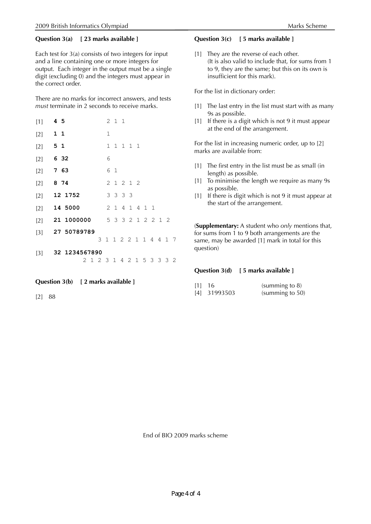### **Question 3(a) [ 23 marks available ]**

Each test for 3(a) consists of two integers for input and a line containing one or more integers for output. Each integer in the output must be a single digit (excluding 0) and the integers must appear in the correct order.

There are no marks for incorrect answers, and tests *must* terminate in 2 seconds to receive marks.

| 2 1 2 3 1 4 2 1 5 3 3 3 2                                              |
|------------------------------------------------------------------------|
| 2 1 4 1 4 1 1<br>21 1000000 5 3 3 2 1 2 2 1 2<br>3 1 1 2 2 1 1 4 4 1 7 |

#### **Question 3(b) [ 2 marks available ]**

[2] 88

#### **Question 3(c) [ 5 marks available ]**

[1] They are the reverse of each other. (It is also valid to include that, for sums from 1 to 9, they are the same; but this on its own is insufficient for this mark).

For the list in dictionary order:

- [1] The last entry in the list must start with as many 9s as possible.
- [1] If there is a digit which is not 9 it must appear at the end of the arrangement.

For the list in increasing numeric order, up to [2] marks are available from:

- [1] The first entry in the list must be as small (in length) as possible.
- [1] To minimise the length we require as many 9s as possible.
- [1] If there is digit which is not 9 it must appear at the start of the arrangement.

(**Supplementary:** A student who *only* mentions that, for sums from 1 to 9 both arrangements are the same, may be awarded [1] mark in total for this question)

#### **Question 3(d) [ 5 marks available ]**

| $[1]$ 16 |                | (summing to $8$ ) |
|----------|----------------|-------------------|
|          | $[4]$ 31993503 | (summing to 50)   |

End of BIO 2009 marks scheme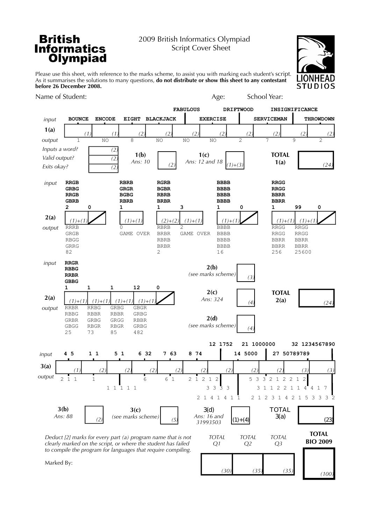## 2009 British Informatics Olympiad Script Cover Sheet

D **STUDIOS** 

*(100)*

Please use this sheet, with reference to the marks scheme, to assist you with marking each student's script. As it summarises the solutions to many questions, **do not distribute or show this sheet to any contestant before 26 December 2008.**

Name of Student:  $\qquad \qquad \qquad$  Name of Student:  $\qquad \qquad$  Age: School Year:

**British** 

**Informatics** 

Olympiad